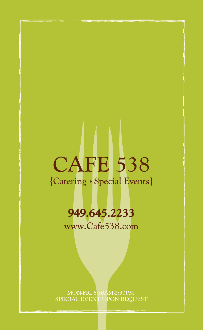# CAFE 538 {Catering · Special Events}

# **949.645.2233**

www.Cafe538.com

MON-FRI 6:30AM-2:30PM SPECIAL EVENT UPON REQUEST